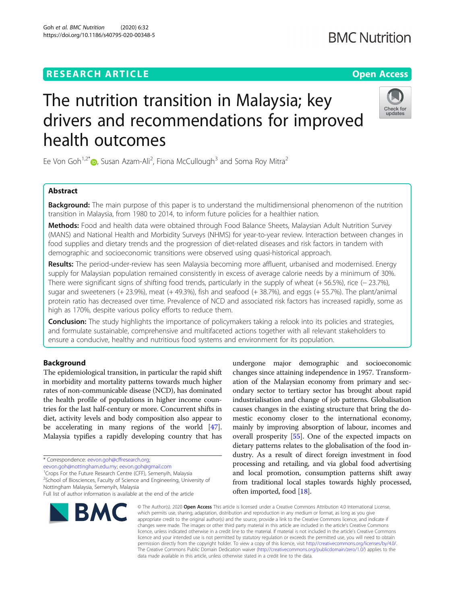# **RESEARCH ARTICLE Example 2014 12:30 The Contract of Contract ACCESS**

# The nutrition transition in Malaysia; key drivers and recommendations for improved health outcomes

Ee Von Goh<sup>1,2[\\*](http://orcid.org/0000-0001-5029-3532)</sup> $\textcolor{blue}{\bullet}$ , Susan Azam-Ali<sup>2</sup>, Fiona McCullough<sup>3</sup> and Soma Roy Mitra<sup>2</sup>

# Abstract

**Background:** The main purpose of this paper is to understand the multidimensional phenomenon of the nutrition transition in Malaysia, from 1980 to 2014, to inform future policies for a healthier nation.

Methods: Food and health data were obtained through Food Balance Sheets, Malaysian Adult Nutrition Survey (MANS) and National Health and Morbidity Surveys (NHMS) for year-to-year review. Interaction between changes in food supplies and dietary trends and the progression of diet-related diseases and risk factors in tandem with demographic and socioeconomic transitions were observed using quasi-historical approach.

Results: The period-under-review has seen Malaysia becoming more affluent, urbanised and modernised. Energy supply for Malaysian population remained consistently in excess of average calorie needs by a minimum of 30%. There were significant signs of shifting food trends, particularly in the supply of wheat (+ 56.5%), rice (− 23.7%), sugar and sweeteners  $(+ 23.9%)$ , meat  $(+ 49.3%)$ , fish and seafood  $(+ 38.7%)$ , and eggs  $(+ 55.7%)$ . The plant/animal protein ratio has decreased over time. Prevalence of NCD and associated risk factors has increased rapidly, some as high as 170%, despite various policy efforts to reduce them.

**Conclusion:** The study highlights the importance of policymakers taking a relook into its policies and strategies, and formulate sustainable, comprehensive and multifaceted actions together with all relevant stakeholders to ensure a conducive, healthy and nutritious food systems and environment for its population.

# **Background**

The epidemiological transition, in particular the rapid shift in morbidity and mortality patterns towards much higher rates of non-communicable disease (NCD), has dominated the health profile of populations in higher income countries for the last half-century or more. Concurrent shifts in diet, activity levels and body composition also appear to be accelerating in many regions of the world [[47](#page-13-0)]. Malaysia typifies a rapidly developing country that has

[eevon.goh@nottingham.edu.my;](mailto:eevon.goh@nottingham.edu.my) [eevon.goh@gmail.com](mailto:eevon.goh@gmail.com) <sup>1</sup> <sup>1</sup> Crops For the Future Research Centre (CFF), Semenyih, Malaysia <sup>2</sup>School of Biosciences, Faculty of Science and Engineering, University of Nottingham Malaysia, Semenyih, Malaysia Full list of author information is available at the end of the article

# \* Correspondence: [eevon.goh@cffresearch.org](mailto:eevon.goh@cffresearch.org);



undergone major demographic and socioeconomic changes since attaining independence in 1957. Transformation of the Malaysian economy from primary and secondary sector to tertiary sector has brought about rapid industrialisation and change of job patterns. Globalisation causes changes in the existing structure that bring the domestic economy closer to the international economy, mainly by improving absorption of labour, incomes and overall prosperity [\[55\]](#page-13-0). One of the expected impacts on dietary patterns relates to the globalisation of the food industry. As a result of direct foreign investment in food processing and retailing, and via global food advertising and local promotion, consumption patterns shift away from traditional local staples towards highly processed, often imported, food [\[18\]](#page-12-0).

© The Author(s), 2020 **Open Access** This article is licensed under a Creative Commons Attribution 4.0 International License, which permits use, sharing, adaptation, distribution and reproduction in any medium or format, as long as you give appropriate credit to the original author(s) and the source, provide a link to the Creative Commons licence, and indicate if changes were made. The images or other third party material in this article are included in the article's Creative Commons licence, unless indicated otherwise in a credit line to the material. If material is not included in the article's Creative Commons licence and your intended use is not permitted by statutory regulation or exceeds the permitted use, you will need to obtain permission directly from the copyright holder. To view a copy of this licence, visit [http://creativecommons.org/licenses/by/4.0/.](http://creativecommons.org/licenses/by/4.0/) The Creative Commons Public Domain Dedication waiver [\(http://creativecommons.org/publicdomain/zero/1.0/](http://creativecommons.org/publicdomain/zero/1.0/)) applies to the data made available in this article, unless otherwise stated in a credit line to the data.



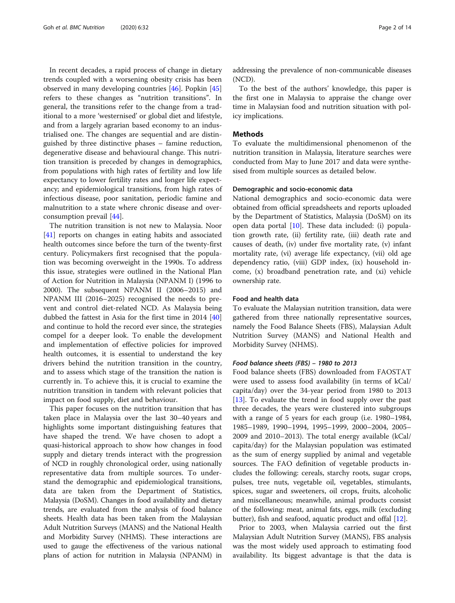In recent decades, a rapid process of change in dietary trends coupled with a worsening obesity crisis has been observed in many developing countries [\[46\]](#page-13-0). Popkin [[45](#page-13-0)] refers to these changes as "nutrition transitions". In general, the transitions refer to the change from a traditional to a more 'westernised' or global diet and lifestyle, and from a largely agrarian based economy to an industrialised one. The changes are sequential and are distinguished by three distinctive phases – famine reduction, degenerative disease and behavioural change. This nutrition transition is preceded by changes in demographics, from populations with high rates of fertility and low life expectancy to lower fertility rates and longer life expectancy; and epidemiological transitions, from high rates of infectious disease, poor sanitation, periodic famine and malnutrition to a state where chronic disease and overconsumption prevail [[44\]](#page-13-0).

The nutrition transition is not new to Malaysia. Noor [[41\]](#page-13-0) reports on changes in eating habits and associated health outcomes since before the turn of the twenty-first century. Policymakers first recognised that the population was becoming overweight in the 1990s. To address this issue, strategies were outlined in the National Plan of Action for Nutrition in Malaysia (NPANM I) (1996 to 2000). The subsequent NPANM II (2006–2015) and NPANM III (2016–2025) recognised the needs to prevent and control diet-related NCD. As Malaysia being dubbed the fattest in Asia for the first time in 2014 [[40](#page-13-0)] and continue to hold the record ever since, the strategies compel for a deeper look. To enable the development and implementation of effective policies for improved health outcomes, it is essential to understand the key drivers behind the nutrition transition in the country, and to assess which stage of the transition the nation is currently in. To achieve this, it is crucial to examine the nutrition transition in tandem with relevant policies that impact on food supply, diet and behaviour.

This paper focuses on the nutrition transition that has taken place in Malaysia over the last 30–40 years and highlights some important distinguishing features that have shaped the trend. We have chosen to adopt a quasi-historical approach to show how changes in food supply and dietary trends interact with the progression of NCD in roughly chronological order, using nationally representative data from multiple sources. To understand the demographic and epidemiological transitions, data are taken from the Department of Statistics, Malaysia (DoSM). Changes in food availability and dietary trends, are evaluated from the analysis of food balance sheets. Health data has been taken from the Malaysian Adult Nutrition Surveys (MANS) and the National Health and Morbidity Survey (NHMS). These interactions are used to gauge the effectiveness of the various national plans of action for nutrition in Malaysia (NPANM) in addressing the prevalence of non-communicable diseases (NCD).

To the best of the authors' knowledge, this paper is the first one in Malaysia to appraise the change over time in Malaysian food and nutrition situation with policy implications.

#### Methods

To evaluate the multidimensional phenomenon of the nutrition transition in Malaysia, literature searches were conducted from May to June 2017 and data were synthesised from multiple sources as detailed below.

#### Demographic and socio-economic data

National demographics and socio-economic data were obtained from official spreadsheets and reports uploaded by the Department of Statistics, Malaysia (DoSM) on its open data portal [\[10](#page-12-0)]. These data included: (i) population growth rate, (ii) fertility rate, (iii) death rate and causes of death, (iv) under five mortality rate, (v) infant mortality rate, (vi) average life expectancy, (vii) old age dependency ratio, (viii) GDP index, (ix) household income, (x) broadband penetration rate, and (xi) vehicle ownership rate.

#### Food and health data

To evaluate the Malaysian nutrition transition, data were gathered from three nationally representative sources, namely the Food Balance Sheets (FBS), Malaysian Adult Nutrition Survey (MANS) and National Health and Morbidity Survey (NHMS).

#### Food balance sheets (FBS) – 1980 to 2013

Food balance sheets (FBS) downloaded from FAOSTAT were used to assess food availability (in terms of kCal/ capita/day) over the 34-year period from 1980 to 2013 [[13\]](#page-12-0). To evaluate the trend in food supply over the past three decades, the years were clustered into subgroups with a range of 5 years for each group (i.e. 1980–1984, 1985–1989, 1990–1994, 1995–1999, 2000–2004, 2005– 2009 and 2010–2013). The total energy available (kCal/ capita/day) for the Malaysian population was estimated as the sum of energy supplied by animal and vegetable sources. The FAO definition of vegetable products includes the following: cereals, starchy roots, sugar crops, pulses, tree nuts, vegetable oil, vegetables, stimulants, spices, sugar and sweeteners, oil crops, fruits, alcoholic and miscellaneous; meanwhile, animal products consist of the following: meat, animal fats, eggs, milk (excluding butter), fish and seafood, aquatic product and offal [[12](#page-12-0)].

Prior to 2003, when Malaysia carried out the first Malaysian Adult Nutrition Survey (MANS), FBS analysis was the most widely used approach to estimating food availability. Its biggest advantage is that the data is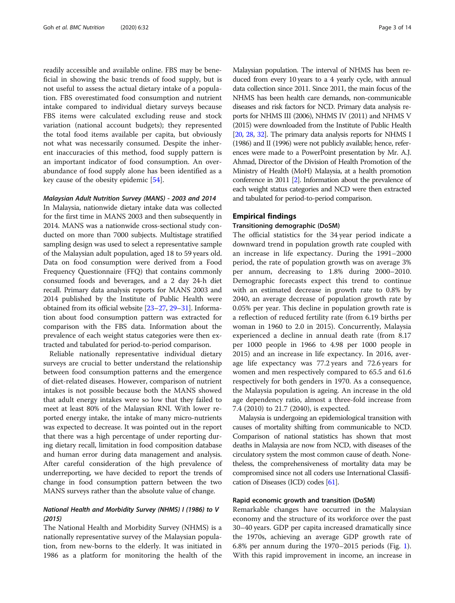<span id="page-2-0"></span>readily accessible and available online. FBS may be beneficial in showing the basic trends of food supply, but is not useful to assess the actual dietary intake of a population. FBS overestimated food consumption and nutrient intake compared to individual dietary surveys because FBS items were calculated excluding reuse and stock variation (national account budgets); they represented the total food items available per capita, but obviously not what was necessarily consumed. Despite the inherent inaccuracies of this method, food supply pattern is an important indicator of food consumption. An overabundance of food supply alone has been identified as a key cause of the obesity epidemic [[54\]](#page-13-0).

#### Malaysian Adult Nutrition Survey (MANS) - 2003 and 2014

In Malaysia, nationwide dietary intake data was collected for the first time in MANS 2003 and then subsequently in 2014. MANS was a nationwide cross-sectional study conducted on more than 7000 subjects. Multistage stratified sampling design was used to select a representative sample of the Malaysian adult population, aged 18 to 59 years old. Data on food consumption were derived from a Food Frequency Questionnaire (FFQ) that contains commonly consumed foods and beverages, and a 2 day 24-h diet recall. Primary data analysis reports for MANS 2003 and 2014 published by the Institute of Public Health were obtained from its official website [\[23](#page-12-0)–[27](#page-12-0), [29](#page-12-0)–[31](#page-12-0)]. Information about food consumption pattern was extracted for comparison with the FBS data. Information about the prevalence of each weight status categories were then extracted and tabulated for period-to-period comparison.

Reliable nationally representative individual dietary surveys are crucial to better understand the relationship between food consumption patterns and the emergence of diet-related diseases. However, comparison of nutrient intakes is not possible because both the MANS showed that adult energy intakes were so low that they failed to meet at least 80% of the Malaysian RNI. With lower reported energy intake, the intake of many micro-nutrients was expected to decrease. It was pointed out in the report that there was a high percentage of under reporting during dietary recall, limitation in food composition database and human error during data management and analysis. After careful consideration of the high prevalence of underreporting, we have decided to report the trends of change in food consumption pattern between the two MANS surveys rather than the absolute value of change.

# National Health and Morbidity Survey (NHMS) I (1986) to V (2015)

The National Health and Morbidity Survey (NHMS) is a nationally representative survey of the Malaysian population, from new-borns to the elderly. It was initiated in 1986 as a platform for monitoring the health of the Malaysian population. The interval of NHMS has been reduced from every 10 years to a 4 yearly cycle, with annual data collection since 2011. Since 2011, the main focus of the NHMS has been health care demands, non-communicable diseases and risk factors for NCD. Primary data analysis reports for NHMS III (2006), NHMS IV (2011) and NHMS V (2015) were downloaded from the Institute of Public Health [[20,](#page-12-0) [28,](#page-12-0) [32](#page-12-0)]. The primary data analysis reports for NHMS I (1986) and II (1996) were not publicly available; hence, references were made to a PowerPoint presentation by Mr. A.J. Ahmad, Director of the Division of Health Promotion of the Ministry of Health (MoH) Malaysia, at a health promotion conference in 2011 [\[2\]](#page-12-0). Information about the prevalence of each weight status categories and NCD were then extracted and tabulated for period-to-period comparison.

#### Empirical findings

#### Transitioning demographic (DoSM)

The official statistics for the 34 year period indicate a downward trend in population growth rate coupled with an increase in life expectancy. During the 1991–2000 period, the rate of population growth was on average 3% per annum, decreasing to 1.8% during 2000–2010. Demographic forecasts expect this trend to continue with an estimated decrease in growth rate to 0.8% by 2040, an average decrease of population growth rate by 0.05% per year. This decline in population growth rate is a reflection of reduced fertility rate (from 6.19 births per woman in 1960 to 2.0 in 2015). Concurrently, Malaysia experienced a decline in annual death rate (from 8.17 per 1000 people in 1966 to 4.98 per 1000 people in 2015) and an increase in life expectancy. In 2016, average life expectancy was 77.2 years and 72.6 years for women and men respectively compared to 65.5 and 61.6 respectively for both genders in 1970. As a consequence, the Malaysia population is ageing. An increase in the old age dependency ratio, almost a three-fold increase from 7.4 (2010) to 21.7 (2040), is expected.

Malaysia is undergoing an epidemiological transition with causes of mortality shifting from communicable to NCD. Comparison of national statistics has shown that most deaths in Malaysia are now from NCD, with diseases of the circulatory system the most common cause of death. Nonetheless, the comprehensiveness of mortality data may be compromised since not all coders use International Classification of Diseases (ICD) codes [[61](#page-13-0)].

#### Rapid economic growth and transition (DoSM)

Remarkable changes have occurred in the Malaysian economy and the structure of its workforce over the past 30–40 years. GDP per capita increased dramatically since the 1970s, achieving an average GDP growth rate of 6.8% per annum during the 1970–2015 periods (Fig. [1](#page-3-0)). With this rapid improvement in income, an increase in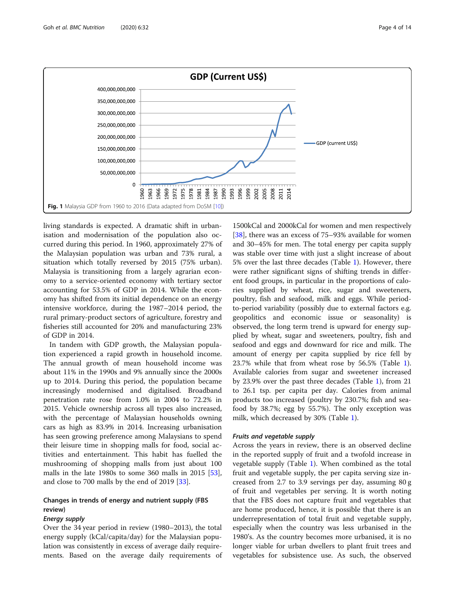<span id="page-3-0"></span>

living standards is expected. A dramatic shift in urbanisation and modernisation of the population also occurred during this period. In 1960, approximately 27% of the Malaysian population was urban and 73% rural, a situation which totally reversed by 2015 (75% urban). Malaysia is transitioning from a largely agrarian economy to a service-oriented economy with tertiary sector accounting for 53.5% of GDP in 2014. While the economy has shifted from its initial dependence on an energy intensive workforce, during the 1987–2014 period, the rural primary-product sectors of agriculture, forestry and fisheries still accounted for 20% and manufacturing 23% of GDP in 2014.

In tandem with GDP growth, the Malaysian population experienced a rapid growth in household income. The annual growth of mean household income was about 11% in the 1990s and 9% annually since the 2000s up to 2014. During this period, the population became increasingly modernised and digitalised. Broadband penetration rate rose from 1.0% in 2004 to 72.2% in 2015. Vehicle ownership across all types also increased, with the percentage of Malaysian households owning cars as high as 83.9% in 2014. Increasing urbanisation has seen growing preference among Malaysians to spend their leisure time in shopping malls for food, social activities and entertainment. This habit has fuelled the mushrooming of shopping malls from just about 100 malls in the late 1980s to some 360 malls in 2015 [\[53](#page-13-0)], and close to 700 malls by the end of 2019 [\[33\]](#page-13-0).

# Changes in trends of energy and nutrient supply (FBS review)

# Energy supply

Over the 34 year period in review (1980–2013), the total energy supply (kCal/capita/day) for the Malaysian population was consistently in excess of average daily requirements. Based on the average daily requirements of

1500kCal and 2000kCal for women and men respectively [[38\]](#page-13-0), there was an excess of 75–93% available for women and 30–45% for men. The total energy per capita supply was stable over time with just a slight increase of about 5% over the last three decades (Table [1](#page-4-0)). However, there were rather significant signs of shifting trends in different food groups, in particular in the proportions of calories supplied by wheat, rice, sugar and sweeteners, poultry, fish and seafood, milk and eggs. While periodto-period variability (possibly due to external factors e.g. geopolitics and economic issue or seasonality) is observed, the long term trend is upward for energy supplied by wheat, sugar and sweeteners, poultry, fish and seafood and eggs and downward for rice and milk. The amount of energy per capita supplied by rice fell by 23.7% while that from wheat rose by 56.5% (Table [1](#page-4-0)). Available calories from sugar and sweetener increased by 23.9% over the past three decades (Table [1\)](#page-4-0), from 21 to 26.1 tsp. per capita per day. Calories from animal products too increased (poultry by 230.7%; fish and seafood by 38.7%; egg by 55.7%). The only exception was milk, which decreased by 30% (Table [1](#page-4-0)).

# Fruits and vegetable supply

Across the years in review, there is an observed decline in the reported supply of fruit and a twofold increase in vegetable supply (Table [1\)](#page-4-0). When combined as the total fruit and vegetable supply, the per capita serving size increased from 2.7 to 3.9 servings per day, assuming 80 g of fruit and vegetables per serving. It is worth noting that the FBS does not capture fruit and vegetables that are home produced, hence, it is possible that there is an underrepresentation of total fruit and vegetable supply, especially when the country was less urbanised in the 1980's. As the country becomes more urbanised, it is no longer viable for urban dwellers to plant fruit trees and vegetables for subsistence use. As such, the observed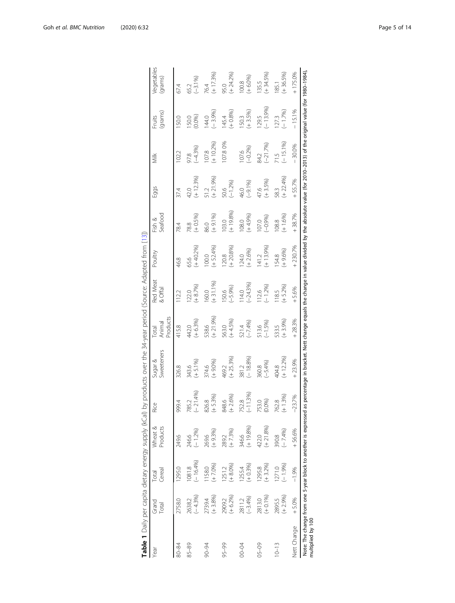<span id="page-4-0"></span>

|                   |                      |                        | Table 1 Daily per capita dietary energy supply (kCal)          |                                       | by products over the 34-year period (Source: Adapted from [13])                                                                                      |                                    |                     |                      |                      |                     |                     |                    |                              |
|-------------------|----------------------|------------------------|----------------------------------------------------------------|---------------------------------------|------------------------------------------------------------------------------------------------------------------------------------------------------|------------------------------------|---------------------|----------------------|----------------------|---------------------|---------------------|--------------------|------------------------------|
| Year              | Grand<br>Total       | Cereal<br><b>Total</b> | Products<br>Wheat &                                            | $\overset{\circ}{\cong}$<br>$\propto$ | Sugar &<br>Sweeteners                                                                                                                                | Products<br>Animal<br><b>Total</b> | Red Meat<br>& Offal | Poultry              | Seafood<br>Fish &    | Eggs                | š                   | (grams)<br>Fruits  | <b>vegetables</b><br>(grams) |
| 80-84             | 2758.0               | 1295.0                 | 249.6                                                          | 999.4                                 | 326.8                                                                                                                                                | 415.8                              | 12.2                | 46.8                 | 78.4                 | 37.4                | 102.2               | 50.0               | 67.4                         |
| $85 - 89$         | $(-4.3%)$<br>2638.2  | $-16.4%$<br>1081.8     | $(-1.2%)$<br>246.6                                             | $-21.4%$<br>785.2                     | $(+ 5.1%$<br>343.6                                                                                                                                   | $(+ 6.3%$<br>442.0                 | $(+ 8.7%)$<br>122.0 | $(+40.2%$<br>65.6    | $(+ 0.5%)$<br>78.8   | $(+ 12.3%)$<br>42.0 | $(-4.3%)$<br>97.8   | (0.0%<br>50.0      | $(-3.1%)$<br>552             |
| 90-94             | $(+3.8%$<br>2739.4   | $(+ 7.0%$<br>158.0     | $(+ 9.3%)$<br>269.6                                            | $(+5.3%)$<br>826.8                    | $(+ 9.0%$<br>374.6                                                                                                                                   | $(+ 21.9%)$<br>538.6               | $(+ 31.1%$<br>160.0 | $(+ 52.4%)$<br>100.0 | $(+ 9.1%$<br>86.0    | $(+ 21.9%)$<br>51.2 | $(+ 10.2%$<br>107.8 | $(-3.9%)$<br>144.0 | $(+ 17.3%)$<br>76.4          |
| $95 - 99$         | $(+ 6.2%)$<br>2909.2 | $(+ 8.0%)$<br>1251.2   | $(+ 7.3%)$<br>289.2                                            | $(+2.6%)$<br>348.6                    | $(+ 25.3%)$<br>469.2                                                                                                                                 | $(+ 4.5%)$<br>563.0                | $(-5.9%)$<br>150.6  | $(+ 20.8%$<br>120.8  | $(+ 19.8%)$<br>103.0 | $(-1.2%$<br>50.6    | 107.80%             | $(+0.8%)$<br>145.4 | $(+ 24.2%)$<br>95.0          |
| <b>NO-00</b>      | 2811.2<br>(-3.4%)    | $(+ 0.3%)$<br>1255.4   | 346.6<br>(+ 19.8%)                                             | $-11.3%$<br>752.8                     | $(-18.8%)$<br>381.2                                                                                                                                  | $(-7.4%$<br>521.4                  | $(-24.3\%)$<br>14.0 | $(+ 2.6%)$<br>124.0  | $(+4.9%$<br>108.0    | $(-9.1%$<br>46.0    | $(-0.2%)$<br>107.6  | $(+3.5%)$<br>150.3 | $(+ 6.0%)$<br>100.8          |
| $05 - 09$         | $(+ 0.1%$<br>2813.0  | $(+3.2%)$<br>1295.8    | $(+ 21.8%)$<br>422.0                                           | (0.096)<br>753.0                      | $(-5.4%)$<br>360.8                                                                                                                                   | $(-1.5%)$<br>513.6                 | $(-1.2%)$<br>12.6   | $(+ 13.9%$<br>141.2  | $(-0.9%)$<br>107.0   | $(+3.5%)$<br>47.6   | $(-21.7%$<br>84.2   | $(-13.9%$<br>129.5 | $(+34.5%)$<br>135.5          |
| $10 - 13$         | $(+ 2.9%)$<br>2895.5 | $(-1.9%)$<br>1271.0    | $(-7.4%)$<br>390.8                                             | $+1.3%$<br>762.8                      | $(+ 12.2%)$<br>404.8                                                                                                                                 | $(+3.9%$<br>533.5                  | $(+ 5.2%)$<br>18.5  | $(+9.6%)$<br>154.8   | $(+ 1.6\%)$<br>108.8 | $(+ 22.4%$<br>583   | $(-15.1%$           | $(-1.7%)$<br>127.3 | $+36.5%$<br>185.1            |
| Nett Change       | $+5.0%$              | $-1.9%$                | +56.6%                                                         | 23.7%                                 | $+23.9%$                                                                                                                                             | $+28.3%$                           | $+5.6%$             | $+230.7%$            | $+38.7%$             | $+55.7%$            | 30.0%               | $-15.1%$           | $+175.0%$                    |
| multiplied by 100 |                      |                        | Note: The change from one 5-year block to another is expressed |                                       | as percentage in bracket. Nett change equals the change in value divided by the absolute value (for 2010-2013) of the original value (for 1980-1984) |                                    |                     |                      |                      |                     |                     |                    |                              |

| ì<br>ׅ֧֧֧֧֧֧֧֧֚֚֚֚֚֚֚֚֚֚֚֚֚֚֚֚֚֚֚֚֚֚֚֚֚֡֡֡֡֡֡֡֡֝֬֝֓֝֬֝֓֝֬֝֬֝֬֝֬֝֬ |
|-------------------------------------------------------------------|
| Į                                                                 |
| i<br>ı                                                            |
| j<br>J<br>5                                                       |
| i<br>j<br>ׇ֖֬֕<br>j<br>I                                          |
| J<br>i<br>)<br>5                                                  |
| 5)<br>١<br>ׇ֚֬֕<br>Ó                                              |
| י<br>ו                                                            |
| j<br>.<br>.                                                       |
|                                                                   |
| i                                                                 |
| 5<br>I<br>j                                                       |
| <br> <br> <br> <br>ţ<br>i<br>i                                    |
| ١<br>i<br>;<br>;<br>;<br>ļ                                        |
| 5)                                                                |
| .cttc.ctt.ctt.ct<br>j<br>5                                        |
| 5                                                                 |
| J<br>I                                                            |
|                                                                   |
| able<br>I                                                         |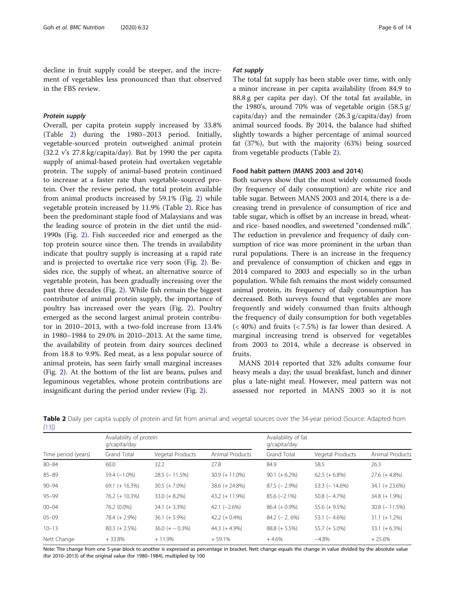decline in fruit supply could be steeper, and the increment of vegetables less pronounced than that observed in the FBS review.

#### Protein supply

Overall, per capita protein supply increased by 33.8% (Table 2) during the 1980–2013 period. Initially, vegetable-sourced protein outweighed animal protein (32.2 v's 27.8 kg/capita/day). But by 1990 the per capita supply of animal-based protein had overtaken vegetable protein. The supply of animal-based protein continued to increase at a faster rate than vegetable-sourced protein. Over the review period, the total protein available from animal products increased by 59.1% (Fig. [2\)](#page-6-0) while vegetable protein increased by 11.9% (Table 2). Rice has been the predominant staple food of Malaysians and was the leading source of protein in the diet until the mid-1990s (Fig. [2](#page-6-0)). Fish succeeded rice and emerged as the top protein source since then. The trends in availability indicate that poultry supply is increasing at a rapid rate and is projected to overtake rice very soon (Fig. [2\)](#page-6-0). Besides rice, the supply of wheat, an alternative source of vegetable protein, has been gradually increasing over the past three decades (Fig. [2\)](#page-6-0). While fish remain the biggest contributor of animal protein supply, the importance of poultry has increased over the years (Fig. [2](#page-6-0)). Poultry emerged as the second largest animal protein contributor in 2010–2013, with a two-fold increase from 13.4% in 1980–1984 to 29.0% in 2010–2013. At the same time, the availability of protein from dairy sources declined from 18.8 to 9.9%. Red meat, as a less popular source of animal protein, has seen fairly small marginal increases (Fig. [2](#page-6-0)). At the bottom of the list are beans, pulses and leguminous vegetables, whose protein contributions are insignificant during the period under review (Fig. [2](#page-6-0)).

#### Fat supply

The total fat supply has been stable over time, with only a minor increase in per capita availability (from 84.9 to 88.8 g per capita per day). Of the total fat available, in the 1980's, around 70% was of vegetable origin (58.5 g/ capita/day) and the remainder (26.3 g/capita/day) from animal sourced foods. By 2014, the balance had shifted slightly towards a higher percentage of animal sourced fat (37%), but with the majority (63%) being sourced from vegetable products (Table 2).

#### Food habit pattern (MANS 2003 and 2014)

Both surveys show that the most widely consumed foods (by frequency of daily consumption) are white rice and table sugar. Between MANS 2003 and 2014, there is a decreasing trend in prevalence of consumption of rice and table sugar, which is offset by an increase in bread, wheatand rice- based noodles, and sweetened "condensed milk". The reduction in prevalence and frequency of daily consumption of rice was more prominent in the urban than rural populations. There is an increase in the frequency and prevalence of consumption of chicken and eggs in 2014 compared to 2003 and especially so in the urban population. While fish remains the most widely consumed animal protein, its frequency of daily consumption has decreased. Both surveys found that vegetables are more frequently and widely consumed than fruits although the frequency of daily consumption for both vegetables  $(< 40\%)$  and fruits  $(< 7.5\%)$  is far lower than desired. A marginal increasing trend is observed for vegetables from 2003 to 2014, while a decrease is observed in fruits.

MANS 2014 reported that 32% adults consume four heavy meals a day; the usual breakfast, lunch and dinner plus a late-night meal. However, meal pattern was not assessed nor reported in MANS 2003 so it is not

| レ・ーリノ               |                                         |                      |                  |                                     |                      |                      |  |
|---------------------|-----------------------------------------|----------------------|------------------|-------------------------------------|----------------------|----------------------|--|
|                     | Availability of protein<br>q/capita/day |                      |                  | Availability of fat<br>q/capita/day |                      |                      |  |
| Time period (years) | <b>Grand Total</b>                      | Vegetal Products     | Animal Products  | <b>Grand Total</b>                  | Vegetal Products     | Animal Products      |  |
| $80 - 84$           | 60.0                                    | 32.2                 | 27.8             | 84.9                                | 58.5                 | 26.3                 |  |
| $85 - 89$           | $59.4 (-1.0\%)$                         | $28.5$ ( $-11.5\%$ ) | $30.9 + 11.0\%$  | $90.1 (+ 6.2%)$                     | $62.5 (+ 6.8\%)$     | $27.6 (+ 4.8%)$      |  |
| $90 - 94$           | $69.1 (+ 16.3%)$                        | $30.5 (+ 7.0\%)$     | $38.6 (+ 24.8%)$ | $87.5$ (-2.9%)                      | $53.3$ ( $-14.6\%$ ) | $34.1 (+ 23.6%)$     |  |
| $95 - 99$           | $76.2 (+ 10.3%)$                        | $33.0 (+ 8.2%)$      | $43.2 (+ 11.9%)$ | $85.6$ $(-2.1\%)$                   | $50.8$ ( $-4.7\%$ )  | $34.8 (+ 1.9\%)$     |  |
| $00 - 04$           | 76.2 (0.0%)                             | $34.1 (+ 3.3%)$      | $42.1 (-2.6%)$   | $86.4 (+ 0.9\%)$                    | $55.6 (+ 9.5%)$      | $30.8$ ( $-11.5\%$ ) |  |
| $05 - 09$           | $78.4 (+ 2.9\%)$                        | $36.1 (+ 5.9%)$      | $42.2 (+ 0.4\%)$ | $84.2$ (- 2, 6%)                    | $53.1$ ( $-4.6\%$ )  | $31.1 (+ 1.2%)$      |  |
| $10 - 13$           | $80.3 (+ 2.5%)$                         | $36.0 (+ - 0.3%)$    | $44.3 (+ 4.9%)$  | $88.8 (+ 5.5%)$                     | $55.7 (+ 5.0\%)$     | $33.1 (+ 6.3%)$      |  |
| Nett Change         | $+33.8%$                                | $+11.9%$             | $+59.1%$         | $+4.6%$                             | $-4.8%$              | $+25.6%$             |  |

Table 2 Daily per capita supply of protein and fat from animal and vegetal sources over the 34-year period (Source: Adapted from  $[13]$ 

Note: The change from one 5-year block to another is expressed as percentage in bracket. Nett change equals the change in value divided by the absolute value (for 2010–2013) of the original value (for 1980–1984), multiplied by 100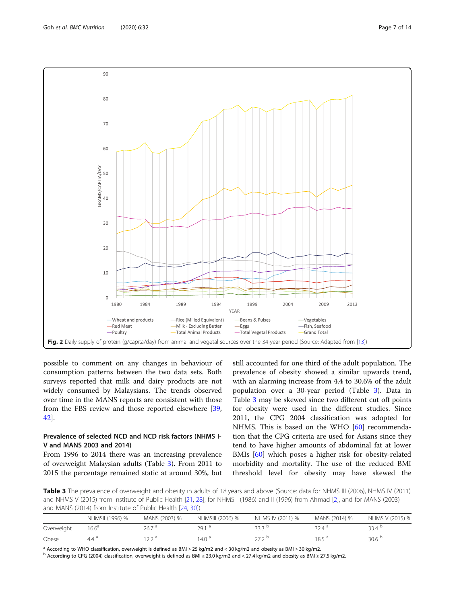<span id="page-6-0"></span>

possible to comment on any changes in behaviour of consumption patterns between the two data sets. Both surveys reported that milk and dairy products are not widely consumed by Malaysians. The trends observed over time in the MANS reports are consistent with those from the FBS review and those reported elsewhere [[39](#page-13-0), [42\]](#page-13-0).

# Prevalence of selected NCD and NCD risk factors (NHMS I-V and MANS 2003 and 2014)

From 1996 to 2014 there was an increasing prevalence of overweight Malaysian adults (Table 3). From 2011 to 2015 the percentage remained static at around 30%, but

still accounted for one third of the adult population. The prevalence of obesity showed a similar upwards trend, with an alarming increase from 4.4 to 30.6% of the adult population over a 30-year period (Table 3). Data in Table 3 may be skewed since two different cut off points for obesity were used in the different studies. Since 2011, the CPG 2004 classification was adopted for NHMS. This is based on the WHO [\[60](#page-13-0)] recommendation that the CPG criteria are used for Asians since they tend to have higher amounts of abdominal fat at lower BMIs [[60\]](#page-13-0) which poses a higher risk for obesity-related morbidity and mortality. The use of the reduced BMI threshold level for obesity may have skewed the

Table 3 The prevalence of overweight and obesity in adults of 18 years and above (Source: data for NHMS III (2006), NHMS IV (2011) and NHMS V (2015) from Institute of Public Health [[21,](#page-12-0) [28](#page-12-0)], for NHMS I (1986) and II (1996) from Ahmad [\[2](#page-12-0)], and for MANS (2003) and MANS (2014) from Institute of Public Health [\[24](#page-12-0), [30\]](#page-12-0))

|            | NHMSII (1996) % | MANS (2003) % | NHMSIII (2006) %  | NHMS IV (2011) % | MANS (2014) %     | NHMS V (2015) %   |
|------------|-----------------|---------------|-------------------|------------------|-------------------|-------------------|
| Overweight | $16.6^{\circ}$  | 26.7a         | 29.1 <sup>a</sup> | 33.3 $b$         | 32.4 <sup>a</sup> | 33.4 $b$          |
| Obese      | $4.4^{\circ}$   | יה רו         | $14.0^{\circ}$    | 272b             | 18.5 <sup>a</sup> | 30.6 <sup>b</sup> |

<sup>a</sup> According to WHO classification, overweight is defined as BMI  $\geq$  25 kg/m2 and < 30 kg/m2 and obesity as BMI  $\geq$  30 kg/m2.<br><sup>b</sup> According to CPG (2004) classification, overweight is defined as BMI  $\geq$  23.0 kg/m2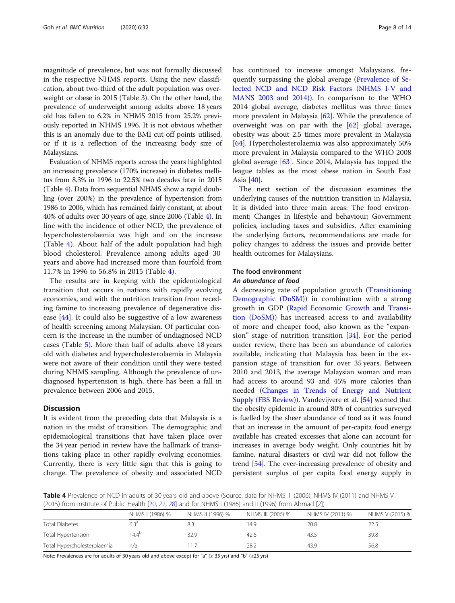magnitude of prevalence, but was not formally discussed in the respective NHMS reports. Using the new classification, about two-third of the adult population was overweight or obese in 2015 (Table [3\)](#page-6-0). On the other hand, the prevalence of underweight among adults above 18 years old has fallen to 6.2% in NHMS 2015 from 25.2% previously reported in NHMS 1996. It is not obvious whether this is an anomaly due to the BMI cut-off points utilised, or if it is a reflection of the increasing body size of Malaysians.

Evaluation of NHMS reports across the years highlighted an increasing prevalence (170% increase) in diabetes mellitus from 8.3% in 1996 to 22.5% two decades later in 2015 (Table 4). Data from sequential NHMS show a rapid doubling (over 200%) in the prevalence of hypertension from 1986 to 2006, which has remained fairly constant, at about 40% of adults over 30 years of age, since 2006 (Table 4). In line with the incidence of other NCD, the prevalence of hypercholesterolaemia was high and on the increase (Table 4). About half of the adult population had high blood cholesterol. Prevalence among adults aged 30 years and above had increased more than fourfold from 11.7% in 1996 to 56.8% in 2015 (Table 4).

The results are in keeping with the epidemiological transition that occurs in nations with rapidly evolving economies, and with the nutrition transition from receding famine to increasing prevalence of degenerative disease [\[44](#page-13-0)]. It could also be suggestive of a low awareness of health screening among Malaysian. Of particular concern is the increase in the number of undiagnosed NCD cases (Table [5\)](#page-8-0). More than half of adults above 18 years old with diabetes and hypercholesterolaemia in Malaysia were not aware of their condition until they were tested during NHMS sampling. Although the prevalence of undiagnosed hypertension is high, there has been a fall in prevalence between 2006 and 2015.

# **Discussion**

It is evident from the preceding data that Malaysia is a nation in the midst of transition. The demographic and epidemiological transitions that have taken place over the 34 year period in review have the hallmark of transitions taking place in other rapidly evolving economies. Currently, there is very little sign that this is going to change. The prevalence of obesity and associated NCD has continued to increase amongst Malaysians, frequently surpassing the global average ([Prevalence of Se](#page-6-0)[lected NCD and NCD Risk Factors \(NHMS I-V and](#page-6-0) [MANS 2003 and 2014\)\)](#page-6-0). In comparison to the WHO 2014 global average, diabetes mellitus was three times more prevalent in Malaysia  $[62]$  $[62]$  $[62]$ . While the prevalence of overweight was on par with the [[62\]](#page-13-0) global average, obesity was about 2.5 times more prevalent in Malaysia [[64\]](#page-13-0). Hypercholesterolaemia was also approximately 50% more prevalent in Malaysia compared to the WHO 2008 global average [[63](#page-13-0)]. Since 2014, Malaysia has topped the league tables as the most obese nation in South East Asia [[40](#page-13-0)].

The next section of the discussion examines the underlying causes of the nutrition transition in Malaysia. It is divided into three main areas: The food environment; Changes in lifestyle and behaviour; Government policies, including taxes and subsidies. After examining the underlying factors, recommendations are made for policy changes to address the issues and provide better health outcomes for Malaysians.

#### The food environment

#### An abundance of food

A decreasing rate of population growth [\(Transitioning](#page-2-0) [Demographic \(DoSM\)](#page-2-0)) in combination with a strong growth in GDP [\(Rapid Economic Growth and Transi](#page-2-0)[tion \(DoSM\)](#page-2-0)) has increased access to and availability of more and cheaper food, also known as the "expansion" stage of nutrition transition [\[34](#page-13-0)]. For the period under review, there has been an abundance of calories available, indicating that Malaysia has been in the expansion stage of transition for over 35 years. Between 2010 and 2013, the average Malaysian woman and man had access to around 93 and 45% more calories than needed [\(Changes in Trends of Energy and Nutrient](#page-3-0) [Supply \(FBS Review\)\)](#page-3-0). Vandevijvere et al. [\[54\]](#page-13-0) warned that the obesity epidemic in around 80% of countries surveyed is fuelled by the sheer abundance of food as it was found that an increase in the amount of per-capita food energy available has created excesses that alone can account for increases in average body weight. Only countries hit by famine, natural disasters or civil war did not follow the trend [[54](#page-13-0)]. The ever-increasing prevalence of obesity and persistent surplus of per capita food energy supply in

Table 4 Prevalence of NCD in adults of 30 years old and above (Source: data for NHMS III (2006), NHMS IV (2011) and NHMS V (2015) from Institute of Public Health [\[20,](#page-12-0) [22,](#page-12-0) [28\]](#page-12-0) and for NHMS I (1986) and II (1996) from Ahmad [\[2](#page-12-0)])

|                             | NHMS I (1986) %   | NHMS II (1996) % | NHMS III (2006) % | NHMS IV (2011) % | NHMS V (2015) % |
|-----------------------------|-------------------|------------------|-------------------|------------------|-----------------|
| <b>Total Diabetes</b>       | 6.3 <sup>a</sup>  | 8.3              | 14.9              | 20.8             |                 |
| Total Hypertension          | 14.4 <sup>b</sup> | 32.9             | 42.6              | 43.5             | 39.8            |
| Total Hypercholesterolaemia | n/a               | 11.7             | 28.2              | 43.9             | 56.8            |
|                             |                   |                  |                   |                  |                 |

Note: Prevalences are for adults of 30 years old and above except for "a" (≥ 35 yrs) and "b" (≥25 yrs)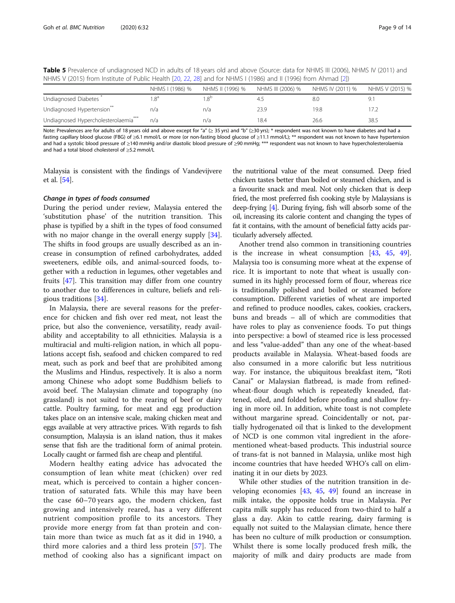<span id="page-8-0"></span>Table 5 Prevalence of undiagnosed NCD in adults of 18 years old and above (Source: data for NHMS III (2006), NHMS IV (2011) and NHMS V (2015) from Institute of Public Health [[20](#page-12-0), [22](#page-12-0), [28\]](#page-12-0) and for NHMS I (1986) and II (1996) from Ahmad [\[2\]](#page-12-0))

|                                                 | NHMS I (1986) % | NHMS II (1996) % | NHMS III (2006) % | NHMS IV (2011) % | NHMS V (2015) % |
|-------------------------------------------------|-----------------|------------------|-------------------|------------------|-----------------|
| Undiagnosed Diabetes                            |                 |                  | 4.5               | 8.0              | 9.              |
| Undiagnosed Hypertension <sup>**</sup>          | n/a             | n/a              | 23.9              | 19.8             |                 |
| Undiagnosed Hypercholesterolaemia <sup>22</sup> | n/a             | n/a              | 18.4              | 26.6             | 38.5            |

Note: Prevalences are for adults of 18 years old and above except for "a" (≥ 35 yrs) and "b" (≥30 yrs); \* respondent was not known to have diabetes and had a fasting capillary blood glucose (FBG) of ≥6.1 mmol/L or more (or non-fasting blood glucose of ≥11.1 mmol/L); \*\* respondent was not known to have hypertension and had a systolic blood pressure of ≥140 mmHg and/or diastolic blood pressure of ≥90 mmHg; \*\*\* respondent was not known to have hypercholesterolaemia and had a total blood cholesterol of ≥5.2 mmol/L

Malaysia is consistent with the findings of Vandevijvere et al. [\[54\]](#page-13-0).

#### Change in types of foods consumed

During the period under review, Malaysia entered the 'substitution phase' of the nutrition transition. This phase is typified by a shift in the types of food consumed with no major change in the overall energy supply  $[34]$  $[34]$ . The shifts in food groups are usually described as an increase in consumption of refined carbohydrates, added sweeteners, edible oils, and animal-sourced foods, together with a reduction in legumes, other vegetables and fruits [\[47](#page-13-0)]. This transition may differ from one country to another due to differences in culture, beliefs and religious traditions [\[34](#page-13-0)].

In Malaysia, there are several reasons for the preference for chicken and fish over red meat, not least the price, but also the convenience, versatility, ready availability and acceptability to all ethnicities. Malaysia is a multiracial and multi-religion nation, in which all populations accept fish, seafood and chicken compared to red meat, such as pork and beef that are prohibited among the Muslims and Hindus, respectively. It is also a norm among Chinese who adopt some Buddhism beliefs to avoid beef. The Malaysian climate and topography (no grassland) is not suited to the rearing of beef or dairy cattle. Poultry farming, for meat and egg production takes place on an intensive scale, making chicken meat and eggs available at very attractive prices. With regards to fish consumption, Malaysia is an island nation, thus it makes sense that fish are the traditional form of animal protein. Locally caught or farmed fish are cheap and plentiful.

Modern healthy eating advice has advocated the consumption of lean white meat (chicken) over red meat, which is perceived to contain a higher concentration of saturated fats. While this may have been the case 60–70 years ago, the modern chicken, fast growing and intensively reared, has a very different nutrient composition profile to its ancestors. They provide more energy from fat than protein and contain more than twice as much fat as it did in 1940, a third more calories and a third less protein [\[57](#page-13-0)]. The method of cooking also has a significant impact on

the nutritional value of the meat consumed. Deep fried chicken tastes better than boiled or steamed chicken, and is a favourite snack and meal. Not only chicken that is deep fried, the most preferred fish cooking style by Malaysians is deep-frying [\[4](#page-12-0)]. During frying, fish will absorb some of the oil, increasing its calorie content and changing the types of fat it contains, with the amount of beneficial fatty acids particularly adversely affected.

Another trend also common in transitioning countries is the increase in wheat consumption [\[43,](#page-13-0) [45,](#page-13-0) [49](#page-13-0)]. Malaysia too is consuming more wheat at the expense of rice. It is important to note that wheat is usually consumed in its highly processed form of flour, whereas rice is traditionally polished and boiled or steamed before consumption. Different varieties of wheat are imported and refined to produce noodles, cakes, cookies, crackers, buns and breads – all of which are commodities that have roles to play as convenience foods. To put things into perspective: a bowl of steamed rice is less processed and less "value-added" than any one of the wheat-based products available in Malaysia. Wheat-based foods are also consumed in a more calorific but less nutritious way. For instance, the ubiquitous breakfast item, "Roti Canai" or Malaysian flatbread, is made from refinedwheat-flour dough which is repeatedly kneaded, flattened, oiled, and folded before proofing and shallow frying in more oil. In addition, white toast is not complete without margarine spread. Coincidentally or not, partially hydrogenated oil that is linked to the development of NCD is one common vital ingredient in the aforementioned wheat-based products. This industrial source of trans-fat is not banned in Malaysia, unlike most high income countries that have heeded WHO's call on eliminating it in our diets by 2023.

While other studies of the nutrition transition in developing economies [[43,](#page-13-0) [45,](#page-13-0) [49](#page-13-0)] found an increase in milk intake, the opposite holds true in Malaysia. Per capita milk supply has reduced from two-third to half a glass a day. Akin to cattle rearing, dairy farming is equally not suited to the Malaysian climate, hence there has been no culture of milk production or consumption. Whilst there is some locally produced fresh milk, the majority of milk and dairy products are made from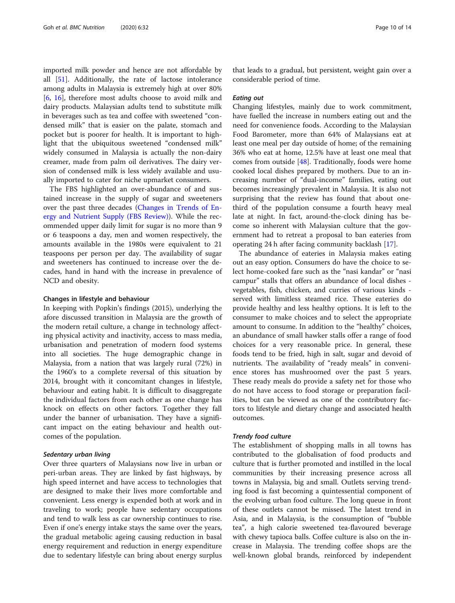imported milk powder and hence are not affordable by all [[51](#page-13-0)]. Additionally, the rate of lactose intolerance among adults in Malaysia is extremely high at over 80% [[6,](#page-12-0) [16\]](#page-12-0), therefore most adults choose to avoid milk and dairy products. Malaysian adults tend to substitute milk in beverages such as tea and coffee with sweetened "condensed milk" that is easier on the palate, stomach and pocket but is poorer for health. It is important to highlight that the ubiquitous sweetened "condensed milk" widely consumed in Malaysia is actually the non-dairy creamer, made from palm oil derivatives. The dairy version of condensed milk is less widely available and usually imported to cater for niche upmarket consumers.

The FBS highlighted an over-abundance of and sustained increase in the supply of sugar and sweeteners over the past three decades [\(Changes in Trends of En](#page-3-0)[ergy and Nutrient Supply \(FBS Review\)\)](#page-3-0). While the recommended upper daily limit for sugar is no more than 9 or 6 teaspoons a day, men and women respectively, the amounts available in the 1980s were equivalent to 21 teaspoons per person per day. The availability of sugar and sweeteners has continued to increase over the decades, hand in hand with the increase in prevalence of NCD and obesity.

#### Changes in lifestyle and behaviour

In keeping with Popkin's findings (2015), underlying the afore discussed transition in Malaysia are the growth of the modern retail culture, a change in technology affecting physical activity and inactivity, access to mass media, urbanisation and penetration of modern food systems into all societies. The huge demographic change in Malaysia, from a nation that was largely rural (72%) in the 1960's to a complete reversal of this situation by 2014, brought with it concomitant changes in lifestyle, behaviour and eating habit. It is difficult to disaggregate the individual factors from each other as one change has knock on effects on other factors. Together they fall under the banner of urbanisation. They have a significant impact on the eating behaviour and health outcomes of the population.

#### Sedentary urban living

Over three quarters of Malaysians now live in urban or peri-urban areas. They are linked by fast highways, by high speed internet and have access to technologies that are designed to make their lives more comfortable and convenient. Less energy is expended both at work and in traveling to work; people have sedentary occupations and tend to walk less as car ownership continues to rise. Even if one's energy intake stays the same over the years, the gradual metabolic ageing causing reduction in basal energy requirement and reduction in energy expenditure due to sedentary lifestyle can bring about energy surplus

that leads to a gradual, but persistent, weight gain over a considerable period of time.

#### Eating out

Changing lifestyles, mainly due to work commitment, have fuelled the increase in numbers eating out and the need for convenience foods. According to the Malaysian Food Barometer, more than 64% of Malaysians eat at least one meal per day outside of home; of the remaining 36% who eat at home, 12.5% have at least one meal that comes from outside [\[48](#page-13-0)]. Traditionally, foods were home cooked local dishes prepared by mothers. Due to an increasing number of "dual-income" families, eating out becomes increasingly prevalent in Malaysia. It is also not surprising that the review has found that about onethird of the population consume a fourth heavy meal late at night. In fact, around-the-clock dining has become so inherent with Malaysian culture that the government had to retreat a proposal to ban eateries from operating 24 h after facing community backlash [[17\]](#page-12-0).

The abundance of eateries in Malaysia makes eating out an easy option. Consumers do have the choice to select home-cooked fare such as the "nasi kandar" or "nasi campur" stalls that offers an abundance of local dishes vegetables, fish, chicken, and curries of various kinds served with limitless steamed rice. These eateries do provide healthy and less healthy options. It is left to the consumer to make choices and to select the appropriate amount to consume. In addition to the "healthy" choices, an abundance of small hawker stalls offer a range of food choices for a very reasonable price. In general, these foods tend to be fried, high in salt, sugar and devoid of nutrients. The availability of "ready meals" in convenience stores has mushroomed over the past 5 years. These ready meals do provide a safety net for those who do not have access to food storage or preparation facilities, but can be viewed as one of the contributory factors to lifestyle and dietary change and associated health outcomes.

# Trendy food culture

The establishment of shopping malls in all towns has contributed to the globalisation of food products and culture that is further promoted and instilled in the local communities by their increasing presence across all towns in Malaysia, big and small. Outlets serving trending food is fast becoming a quintessential component of the evolving urban food culture. The long queue in front of these outlets cannot be missed. The latest trend in Asia, and in Malaysia, is the consumption of "bubble tea", a high calorie sweetened tea-flavoured beverage with chewy tapioca balls. Coffee culture is also on the increase in Malaysia. The trending coffee shops are the well-known global brands, reinforced by independent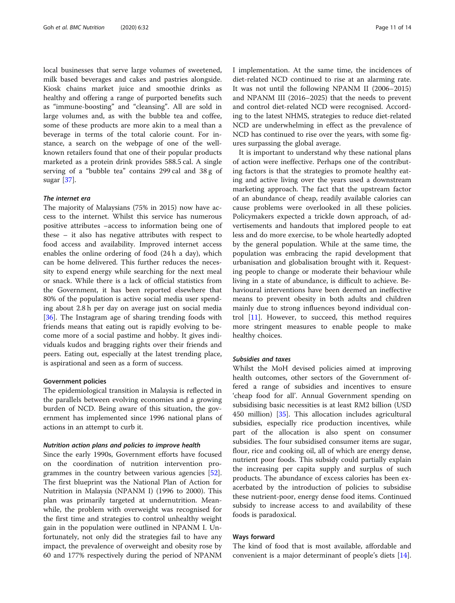local businesses that serve large volumes of sweetened, milk based beverages and cakes and pastries alongside. Kiosk chains market juice and smoothie drinks as healthy and offering a range of purported benefits such as "immune-boosting" and "cleansing". All are sold in large volumes and, as with the bubble tea and coffee, some of these products are more akin to a meal than a beverage in terms of the total calorie count. For instance, a search on the webpage of one of the wellknown retailers found that one of their popular products marketed as a protein drink provides 588.5 cal. A single serving of a "bubble tea" contains 299 cal and 38 g of sugar [[37\]](#page-13-0).

#### The internet era

The majority of Malaysians (75% in 2015) now have access to the internet. Whilst this service has numerous positive attributes –access to information being one of these – it also has negative attributes with respect to food access and availability. Improved internet access enables the online ordering of food (24 h a day), which can be home delivered. This further reduces the necessity to expend energy while searching for the next meal or snack. While there is a lack of official statistics from the Government, it has been reported elsewhere that 80% of the population is active social media user spending about 2.8 h per day on average just on social media [[36\]](#page-13-0). The Instagram age of sharing trending foods with friends means that eating out is rapidly evolving to become more of a social pastime and hobby. It gives individuals kudos and bragging rights over their friends and peers. Eating out, especially at the latest trending place, is aspirational and seen as a form of success.

#### Government policies

The epidemiological transition in Malaysia is reflected in the parallels between evolving economies and a growing burden of NCD. Being aware of this situation, the government has implemented since 1996 national plans of actions in an attempt to curb it.

#### Nutrition action plans and policies to improve health

Since the early 1990s, Government efforts have focused on the coordination of nutrition intervention programmes in the country between various agencies [\[52](#page-13-0)]. The first blueprint was the National Plan of Action for Nutrition in Malaysia (NPANM I) (1996 to 2000). This plan was primarily targeted at undernutrition. Meanwhile, the problem with overweight was recognised for the first time and strategies to control unhealthy weight gain in the population were outlined in NPANM I. Unfortunately, not only did the strategies fail to have any impact, the prevalence of overweight and obesity rose by 60 and 177% respectively during the period of NPANM I implementation. At the same time, the incidences of diet-related NCD continued to rise at an alarming rate. It was not until the following NPANM II (2006–2015) and NPANM III (2016–2025) that the needs to prevent and control diet-related NCD were recognised. According to the latest NHMS, strategies to reduce diet-related NCD are underwhelming in effect as the prevalence of NCD has continued to rise over the years, with some figures surpassing the global average.

It is important to understand why these national plans of action were ineffective. Perhaps one of the contributing factors is that the strategies to promote healthy eating and active living over the years used a downstream marketing approach. The fact that the upstream factor of an abundance of cheap, readily available calories can cause problems were overlooked in all these policies. Policymakers expected a trickle down approach, of advertisements and handouts that implored people to eat less and do more exercise, to be whole heartedly adopted by the general population. While at the same time, the population was embracing the rapid development that urbanisation and globalisation brought with it. Requesting people to change or moderate their behaviour while living in a state of abundance, is difficult to achieve. Behavioural interventions have been deemed an ineffective means to prevent obesity in both adults and children mainly due to strong influences beyond individual control [\[11](#page-12-0)]. However, to succeed, this method requires more stringent measures to enable people to make healthy choices.

#### Subsidies and taxes

Whilst the MoH devised policies aimed at improving health outcomes, other sectors of the Government offered a range of subsidies and incentives to ensure 'cheap food for all'. Annual Government spending on subsidising basic necessities is at least RM2 billion (USD 450 million) [[35\]](#page-13-0). This allocation includes agricultural subsidies, especially rice production incentives, while part of the allocation is also spent on consumer subsidies. The four subsidised consumer items are sugar, flour, rice and cooking oil, all of which are energy dense, nutrient poor foods. This subsidy could partially explain the increasing per capita supply and surplus of such products. The abundance of excess calories has been exacerbated by the introduction of policies to subsidise these nutrient-poor, energy dense food items. Continued subsidy to increase access to and availability of these foods is paradoxical.

#### Ways forward

The kind of food that is most available, affordable and convenient is a major determinant of people's diets [\[14](#page-12-0)].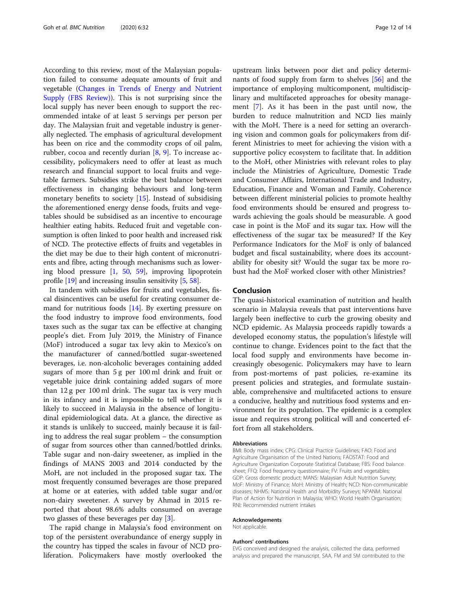According to this review, most of the Malaysian population failed to consume adequate amounts of fruit and vegetable ([Changes in Trends of Energy and Nutrient](#page-3-0) [Supply \(FBS Review\)\)](#page-3-0). This is not surprising since the local supply has never been enough to support the recommended intake of at least 5 servings per person per day. The Malaysian fruit and vegetable industry is generally neglected. The emphasis of agricultural development has been on rice and the commodity crops of oil palm, rubber, cocoa and recently durian [\[8](#page-12-0), [9](#page-12-0)]. To increase accessibility, policymakers need to offer at least as much research and financial support to local fruits and vegetable farmers. Subsidies strike the best balance between effectiveness in changing behaviours and long-term monetary benefits to society [[15](#page-12-0)]. Instead of subsidising the aforementioned energy dense foods, fruits and vegetables should be subsidised as an incentive to encourage healthier eating habits. Reduced fruit and vegetable consumption is often linked to poor health and increased risk of NCD. The protective effects of fruits and vegetables in the diet may be due to their high content of micronutrients and fibre, acting through mechanisms such as lowering blood pressure [\[1,](#page-12-0) [50,](#page-13-0) [59\]](#page-13-0), improving lipoprotein profile [\[19\]](#page-12-0) and increasing insulin sensitivity [[5](#page-12-0), [58\]](#page-13-0).

In tandem with subsidies for fruits and vegetables, fiscal disincentives can be useful for creating consumer demand for nutritious foods  $[14]$ . By exerting pressure on the food industry to improve food environments, food taxes such as the sugar tax can be effective at changing people's diet. From July 2019, the Ministry of Finance (MoF) introduced a sugar tax levy akin to Mexico's on the manufacturer of canned/bottled sugar-sweetened beverages, i.e. non-alcoholic beverages containing added sugars of more than 5 g per 100 ml drink and fruit or vegetable juice drink containing added sugars of more than 12 g per 100 ml drink. The sugar tax is very much in its infancy and it is impossible to tell whether it is likely to succeed in Malaysia in the absence of longitudinal epidemiological data. At a glance, the directive as it stands is unlikely to succeed, mainly because it is failing to address the real sugar problem – the consumption of sugar from sources other than canned/bottled drinks. Table sugar and non-dairy sweetener, as implied in the findings of MANS 2003 and 2014 conducted by the MoH, are not included in the proposed sugar tax. The most frequently consumed beverages are those prepared at home or at eateries, with added table sugar and/or non-dairy sweetener. A survey by Ahmad in 2015 reported that about 98.6% adults consumed on average two glasses of these beverages per day [[3\]](#page-12-0).

The rapid change in Malaysia's food environment on top of the persistent overabundance of energy supply in the country has tipped the scales in favour of NCD proliferation. Policymakers have mostly overlooked the

upstream links between poor diet and policy determinants of food supply from farm to shelves [[56\]](#page-13-0) and the importance of employing multicomponent, multidisciplinary and multifaceted approaches for obesity management [[7\]](#page-12-0). As it has been in the past until now, the burden to reduce malnutrition and NCD lies mainly with the MoH. There is a need for setting an overarching vision and common goals for policymakers from different Ministries to meet for achieving the vision with a supportive policy ecosystem to facilitate that. In addition to the MoH, other Ministries with relevant roles to play include the Ministries of Agriculture, Domestic Trade and Consumer Affairs, International Trade and Industry, Education, Finance and Woman and Family. Coherence between different ministerial policies to promote healthy food environments should be ensured and progress towards achieving the goals should be measurable. A good case in point is the MoF and its sugar tax. How will the effectiveness of the sugar tax be measured? If the Key Performance Indicators for the MoF is only of balanced budget and fiscal sustainability, where does its accountability for obesity sit? Would the sugar tax be more robust had the MoF worked closer with other Ministries?

# Conclusion

The quasi-historical examination of nutrition and health scenario in Malaysia reveals that past interventions have largely been ineffective to curb the growing obesity and NCD epidemic. As Malaysia proceeds rapidly towards a developed economy status, the population's lifestyle will continue to change. Evidences point to the fact that the local food supply and environments have become increasingly obesogenic. Policymakers may have to learn from post-mortems of past policies, re-examine its present policies and strategies, and formulate sustainable, comprehensive and multifaceted actions to ensure a conducive, healthy and nutritious food systems and environment for its population. The epidemic is a complex issue and requires strong political will and concerted effort from all stakeholders.

#### **Abbreviations**

BMI: Body mass index; CPG: Clinical Practice Guidelines; FAO: Food and Agriculture Organisation of the United Nations; FAOSTAT: Food and Agriculture Organization Corporate Statistical Database; FBS: Food balance sheet; FFQ: Food frequency questionnaire; FV: Fruits and vegetables; GDP: Gross domestic product; MANS: Malaysian Adult Nutrition Survey; MoF: Ministry of Finance; MoH: Ministry of Health; NCD: Non-communicable diseases; NHMS: National Health and Morbidity Surveys; NPANM: National Plan of Action for Nutrition in Malaysia; WHO: World Health Organisation; RNI: Recommended nutrient intakes

#### Acknowledgements

Not applicable.

#### Authors' contributions

EVG conceived and designed the analysis, collected the data, performed analysis and prepared the manuscript. SAA, FM and SM contributed to the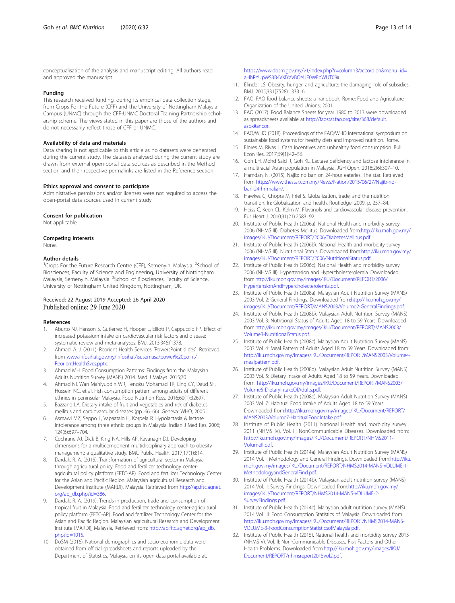#### <span id="page-12-0"></span>Funding

This research received funding, during its empirical data collection stage, from Crops For the Future (CFF) and the University of Nottingham Malaysia Campus (UNMC) through the CFF-UNMC Doctoral Training Partnership scholarship scheme. The views stated in this paper are those of the authors and do not necessarily reflect those of CFF or UNMC.

#### Availability of data and materials

Data sharing is not applicable to this article as no datasets were generated during the current study. The datasets analysed during the current study are drawn from external open-portal data sources as described in the Method section and their respective permalinks are listed in the Reference section.

#### Ethics approval and consent to participate

Administrative permissions and/or licenses were not required to access the open-portal data sources used in current study.

#### Consent for publication

Not applicable.

#### Competing interests

None.

#### Author details

<sup>1</sup> Crops For the Future Research Centre (CFF), Semenyih, Malaysia. <sup>2</sup>School of Biosciences, Faculty of Science and Engineering, University of Nottingham Malaysia, Semenyih, Malaysia. <sup>3</sup>School of Biosciences, Faculty of Science, University of Nottingham United Kingdom, Nottingham, UK.

# Received: 22 August 2019 Accepted: 26 April 2020 Published online: 29 June 2020

#### References

- Aburto NJ, Hanson S, Gutierrez H, Hooper L, Elliott P, Cappuccio FP. Effect of increased potassium intake on cardiovascular risk factors and disease: systematic review and meta-analyses. BMJ. 2013;346:f1378.
- 2. Ahmad, A. J. (2011). Reorient Health Services [PowersPoint slides]. Retrieved from [www.infosihat.gov.my/infosihat/isusemasa/power%20point/](http://www.infosihat.gov.my/infosihat/isusemasa/power%20point/ReorientHealthSvcs.pptx) [ReorientHealthSvcs.pptx](http://www.infosihat.gov.my/infosihat/isusemasa/power%20point/ReorientHealthSvcs.pptx).
- 3. Ahmad MH. Food Consumption Patterns: Findings from the Malaysian Adults Nutrition Survey (MANS) 2014. Med J Malays. 2015;70.
- 4. Ahmad NI, Wan Mahiyuddin WR, Tengku Mohamad TR, Ling CY, Daud SF, Hussein NC, et al. Fish consumption pattern among adults of different ethnics in peninsular Malaysia. Food Nutrition Ress. 2016;60(1):32697.
- 5. Bazzano LA. Dietary intake of fruit and vegetables and risk of diabetes mellitus and cardiovascular diseases (pp. 66–66). Geneva: WHO; 2005.
- 6. Asmawi MZ, Seppo L, Vapaatalo H, Korpela R. Hypolactasia & lactose intolerance among three ethnic groups in Malaysia. Indian J Med Res. 2006; 124(6):697–704.
- 7. Cochrane AJ, Dick B, King NA, Hills AP, Kavanagh DJ. Developing dimensions for a multicomponent multidisciplinary approach to obesity management: a qualitative study. BMC Public Health. 2017;17(1):814.
- 8. Dardak, R. A. (2015). Transformation of agricultural sector in Malaysia through agricultural policy. Food and fertilizer technology centeragricultural policy platform (FFTC-AP). Food and fertilizer Technology Center for the Asian and Pacific Region. Malaysian agricultural Research and Development Institute (MARDI), Malaysia. Retrieved from [http://ap.fftc.agnet.](http://ap.fftc.agnet.org/ap_db.php?id=386) [org/ap\\_db.php?id=386](http://ap.fftc.agnet.org/ap_db.php?id=386).
- 9. Dardak, R. A. (2019). Trends in production, trade and consumption of tropical fruit in Malaysia. Food and fertilizer technology center-agricultural policy platform (FFTC-AP). Food and fertilizer Technology Center for the Asian and Pacific Region. Malaysian agricultural Research and Development Institute (MARDI), Malaysia. Retrieved from: [http://ap.fftc.agnet.org/ap\\_db.](http://ap.fftc.agnet.org/ap_db.php?id=1015) [php?id=1015](http://ap.fftc.agnet.org/ap_db.php?id=1015).
- 10. DoSM (2016). National demographics and socio-economic data were obtained from official spreadsheets and reports uploaded by the Department of Statistics, Malaysia on its open data portal available at.

[https://www.dosm.gov.my/v1/index.php?r=column3/accordion&menu\\_id=](https://www.dosm.gov.my/v1/index.php?r=column3/accordion&menu_id=aHhRYUpWS3B4VXlYaVBOeUF0WFpWUT09) [aHhRYUpWS3B4VXlYaVBOeUF0WFpWUT09](https://www.dosm.gov.my/v1/index.php?r=column3/accordion&menu_id=aHhRYUpWS3B4VXlYaVBOeUF0WFpWUT09)#.

- 11. Elinder LS. Obesity, hunger, and agriculture: the damaging role of subsidies. BMJ. 2005;331(7528):1333–6.
- 12. FAO. FAO food balance sheets: a handbook. Rome: Food and Agriculture Organization of the United Unions; 2001.
- 13. FAO (2017). Food Balance Sheets for year 1980 to 2013 were downloaded as spreadsheets available at [http://faostat.fao.org/site/368/default.](http://faostat.fao.org/site/368/default.aspx#ancor) [aspx#ancor.](http://faostat.fao.org/site/368/default.aspx#ancor)
- 14. FAO/WHO (2018). Proceedings of the FAO/WHO international symposium on sustainable food systems for healthy diets and improved nutrition. Rome.
- 15. Flores M, Rivas J. Cash incentives and unhealthy food consumption. Bull Econ Res. 2017;69(1):42–56.
- 16. Goh LH, Mohd Said R, Goh KL. Lactase deficiency and lactose intolerance in a multiracial Asian population in Malaysia. JGH Open. 2018;2(6):307–10.
- 17. Hamdan, N. (2015). Najib: no ban on 24-hour eateries. The star. Retrieved from [https://www.thestar.com.my/News/Nation/2015/06/27/Najib-no](https://www.thestar.com.my/News/Nation/2015/06/27/Najib-no-ban-24-hr-makan/)[ban-24-hr-makan/.](https://www.thestar.com.my/News/Nation/2015/06/27/Najib-no-ban-24-hr-makan/)
- 18. Hawkes C, Chopra M, Friel S. Globalization, trade, and the nutrition transition. In: Globalization and health. Routledge; 2009. p. 257–84.
- 19. Heiss C, Keen CL, Kelm M. Flavanols and cardiovascular disease prevention. Eur Heart J. 2010;31(21):2583–92.
- 20. Institute of Public Health (2006a). National Health and morbidity survey 2006 (NHMS III). Diabetes Mellitus. Downloaded from:[http://iku.moh.gov.my/](http://iku.moh.gov.my/images/IKU/Document/REPORT/2006/DiabetesMellitus.pdf) [images/IKU/Document/REPORT/2006/DiabetesMellitus.pdf.](http://iku.moh.gov.my/images/IKU/Document/REPORT/2006/DiabetesMellitus.pdf)
- 21. Institute of Public Health (2006b). National Health and morbidity survey 2006 (NHMS III). Nutritional Status. Downloaded from:[http://iku.moh.gov.my/](http://iku.moh.gov.my/images/IKU/Document/REPORT/2006/NutritionalStatus.pdf) [images/IKU/Document/REPORT/2006/NutritionalStatus.pdf](http://iku.moh.gov.my/images/IKU/Document/REPORT/2006/NutritionalStatus.pdf).
- 22. Institute of Public Health (2006c). National Health and morbidity survey 2006 (NHMS III). Hypertension and Hypercholesterolemia. Downloaded from[:http://iku.moh.gov.my/images/IKU/Document/REPORT/2006/](http://iku.moh.gov.my/images/IKU/Document/REPORT/2006/HypertensionAndHypercholecterolemia.pdf) [HypertensionAndHypercholecterolemia.pdf.](http://iku.moh.gov.my/images/IKU/Document/REPORT/2006/HypertensionAndHypercholecterolemia.pdf)
- 23. Institute of Public Health (2008a). Malaysian Adult Nutrition Survey (MANS) 2003 Vol. 2: General Findings. Downloaded from[:http://iku.moh.gov.my/](http://iku.moh.gov.my/images/IKU/Document/REPORT/MANS2003/Volume7-HabitualFoodIntake.pdf) [images/IKU/Document/REPORT/MANS2003/Volume2-GeneralFindings.pdf.](http://iku.moh.gov.my/images/IKU/Document/REPORT/MANS2003/Volume7-HabitualFoodIntake.pdf)
- 24. Institute of Public Health (2008b). Malaysian Adult Nutrition Survey (MANS) 2003 Vol. 3: Nutritional Status of Adults Aged 18 to 59 Years. Downloaded from[:http://iku.moh.gov.my/images/IKU/Document/REPORT/MANS2003/](http://iku.moh.gov.my/images/IKU/Document/REPORT/MANS2003/Volume7-HabitualFoodIntake.pdf) [Volume3-NutritionalStatus.pdf.](http://iku.moh.gov.my/images/IKU/Document/REPORT/MANS2003/Volume7-HabitualFoodIntake.pdf)
- 25. Institute of Public Health (2008c). Malaysian Adult Nutrition Survey (MANS) 2003 Vol. 4: Meal Pattern of Adults Aged 18 to 59 Years. Downloaded from: [http://iku.moh.gov.my/images/IKU/Document/REPORT/MANS2003/Volume4](http://iku.moh.gov.my/images/IKU/Document/REPORT/MANS2003/Volume7-HabitualFoodIntake.pdf) [mealpattern.pdf.](http://iku.moh.gov.my/images/IKU/Document/REPORT/MANS2003/Volume7-HabitualFoodIntake.pdf)
- 26. Institute of Public Health (2008d). Malaysian Adult Nutrition Survey (MANS) 2003 Vol. 5: Dietary Intake of Adults Aged 18 to 59 Years. Downloaded from: [http://iku.moh.gov.my/images/IKU/Document/REPORT/MANS2003/](http://iku.moh.gov.my/images/IKU/Document/REPORT/MANS2003/Volume7-HabitualFoodIntake.pdf) [Volume5-DietaryIntakeOfAdults.pdf](http://iku.moh.gov.my/images/IKU/Document/REPORT/MANS2003/Volume7-HabitualFoodIntake.pdf).
- 27. Institute of Public Health (2008e). Malaysian Adult Nutrition Survey (MANS) 2003 Vol. 7: Habitual Food Intake of Adults Aged 18 to 59 Years. Downloaded from[:http://iku.moh.gov.my/images/IKU/Document/REPORT/](http://iku.moh.gov.my/images/IKU/Document/REPORT/MANS2003/Volume7-HabitualFoodIntake.pdf) [MANS2003/Volume7-HabitualFoodIntake.pdf](http://iku.moh.gov.my/images/IKU/Document/REPORT/MANS2003/Volume7-HabitualFoodIntake.pdf).
- 28. Institute of Public Health (2011). National Health and morbidity survey 2011 (NHMS IV). Vol. II: NonCommunicable Diseases. Downloaded from: [http://iku.moh.gov.my/images/IKU/Document/REPORT/NHMS2011-](http://iku.moh.gov.my/images/IKU/Document/REPORT/NHMS2011-VolumeII.pdf) [VolumeII.pdf](http://iku.moh.gov.my/images/IKU/Document/REPORT/NHMS2011-VolumeII.pdf).
- 29. Institute of Public Health (2014a). Malaysian Adult Nutrition Survey (MANS) 2014 Vol. I: Methodology and General Findings. Downloaded from[:http://iku.](http://iku.moh.gov.my/images/IKU/Document/REPORT/NHMS2014-MANS-VOLUME-3-FoodConsumptionStatisticsofMalaysia.pdf) [moh.gov.my/images/IKU/Document/REPORT/NHMS2014-MANS-VOLUME-1-](http://iku.moh.gov.my/images/IKU/Document/REPORT/NHMS2014-MANS-VOLUME-3-FoodConsumptionStatisticsofMalaysia.pdf) [MethodologyandGeneralFind.pdf.](http://iku.moh.gov.my/images/IKU/Document/REPORT/NHMS2014-MANS-VOLUME-3-FoodConsumptionStatisticsofMalaysia.pdf)
- 30. Institute of Public Health (2014b). Malaysian adult nutrition survey (MANS) 2014 Vol. II: Survey Findings. Downloaded from:[http://iku.moh.gov.my/](http://iku.moh.gov.my/images/IKU/Document/REPORT/NHMS2014-MANS-VOLUME-3-FoodConsumptionStatisticsofMalaysia.pdf) [images/IKU/Document/REPORT/NHMS2014-MANS-VOLUME-2-](http://iku.moh.gov.my/images/IKU/Document/REPORT/NHMS2014-MANS-VOLUME-3-FoodConsumptionStatisticsofMalaysia.pdf) [SurveyFindings.pdf](http://iku.moh.gov.my/images/IKU/Document/REPORT/NHMS2014-MANS-VOLUME-3-FoodConsumptionStatisticsofMalaysia.pdf).
- 31. Institute of Public Health (2014c). Malaysian adult nutrition survey (MANS) 2014 Vol. III: Food Consumption Statistics of Malaysia. Downloaded from: [http://iku.moh.gov.my/images/IKU/Document/REPORT/NHMS2014-MANS-](http://iku.moh.gov.my/images/IKU/Document/REPORT/NHMS2014-MANS-VOLUME-3-FoodConsumptionStatisticsofMalaysia.pdf)[VOLUME-3-FoodConsumptionStatisticsofMalaysia.pdf.](http://iku.moh.gov.my/images/IKU/Document/REPORT/NHMS2014-MANS-VOLUME-3-FoodConsumptionStatisticsofMalaysia.pdf)
- 32. Institute of Public Health (2015). National health and morbidity survey 2015 (NHMS V). Vol. II: Non-Communicable Diseases, Risk Factors and Other Health Problems. Downloaded from:[http://iku.moh.gov.my/images/IKU/](http://iku.moh.gov.my/images/IKU/Document/REPORT/nhmsreport2015vol2.pdf) [Document/REPORT/nhmsreport2015vol2.pdf.](http://iku.moh.gov.my/images/IKU/Document/REPORT/nhmsreport2015vol2.pdf)